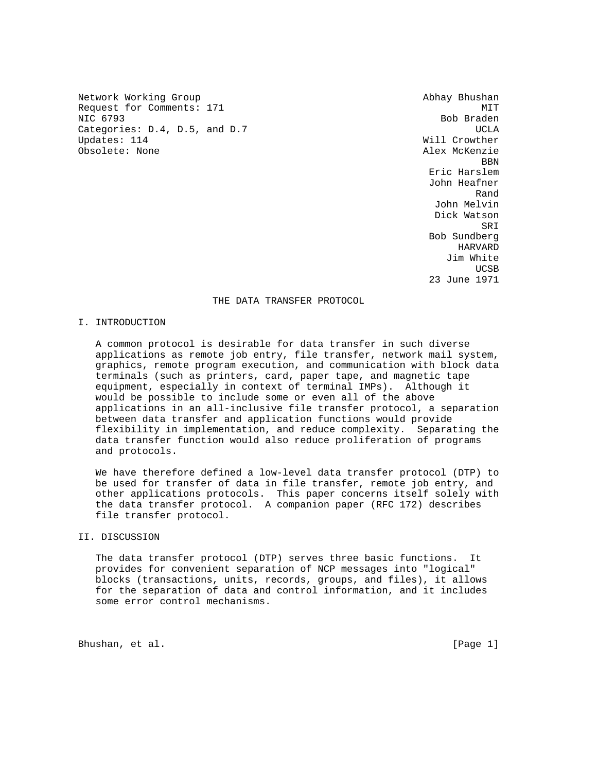Network Working Group and Abhay Bhushan Request for Comments: 171 MIT NIC 6793 Bob Braden Categories: D.4, D.5, and D.7 UCLA Updates: 114 Will Crowther Obsolete: None Alex McKenzie

**BBN**  Eric Harslem John Heafner rando de la construcción de la construcción de la construcción de la construcción de la construcción de la con John Melvin Dick Watson SRI SANTO STANDARDI SE SE UN SERIE DE SANTO DE SERIE DE SANTO DE SANTO DE SANTO DE SANTO DE SANTO DE SANTO DE Bob Sundberg HARVARD Jim White **UCSB UCSB** 23 June 1971

### THE DATA TRANSFER PROTOCOL

#### I. INTRODUCTION

 A common protocol is desirable for data transfer in such diverse applications as remote job entry, file transfer, network mail system, graphics, remote program execution, and communication with block data terminals (such as printers, card, paper tape, and magnetic tape equipment, especially in context of terminal IMPs). Although it would be possible to include some or even all of the above applications in an all-inclusive file transfer protocol, a separation between data transfer and application functions would provide flexibility in implementation, and reduce complexity. Separating the data transfer function would also reduce proliferation of programs and protocols.

 We have therefore defined a low-level data transfer protocol (DTP) to be used for transfer of data in file transfer, remote job entry, and other applications protocols. This paper concerns itself solely with the data transfer protocol. A companion paper (RFC 172) describes file transfer protocol.

## II. DISCUSSION

 The data transfer protocol (DTP) serves three basic functions. It provides for convenient separation of NCP messages into "logical" blocks (transactions, units, records, groups, and files), it allows for the separation of data and control information, and it includes some error control mechanisms.

Bhushan, et al. [Page 1]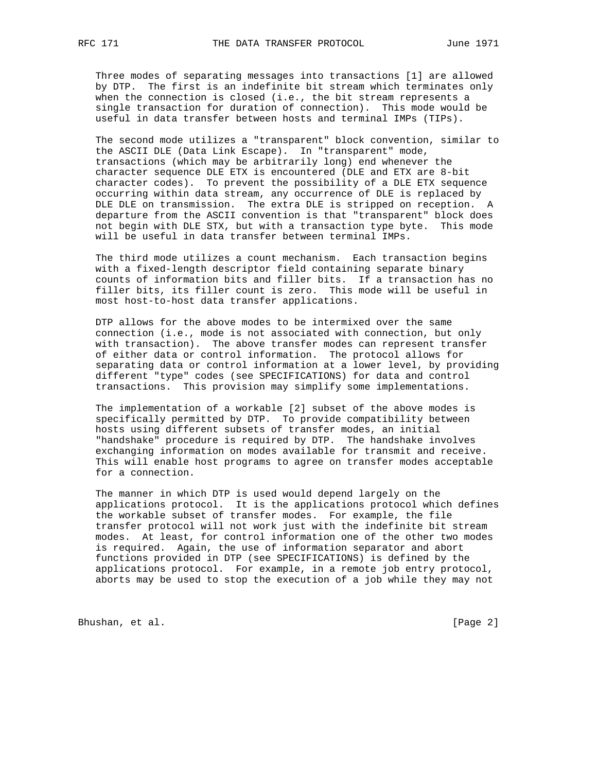Three modes of separating messages into transactions [1] are allowed by DTP. The first is an indefinite bit stream which terminates only when the connection is closed (i.e., the bit stream represents a single transaction for duration of connection). This mode would be useful in data transfer between hosts and terminal IMPs (TIPs).

 The second mode utilizes a "transparent" block convention, similar to the ASCII DLE (Data Link Escape). In "transparent" mode, transactions (which may be arbitrarily long) end whenever the character sequence DLE ETX is encountered (DLE and ETX are 8-bit character codes). To prevent the possibility of a DLE ETX sequence occurring within data stream, any occurrence of DLE is replaced by DLE DLE on transmission. The extra DLE is stripped on reception. A departure from the ASCII convention is that "transparent" block does not begin with DLE STX, but with a transaction type byte. This mode will be useful in data transfer between terminal IMPs.

 The third mode utilizes a count mechanism. Each transaction begins with a fixed-length descriptor field containing separate binary counts of information bits and filler bits. If a transaction has no filler bits, its filler count is zero. This mode will be useful in most host-to-host data transfer applications.

 DTP allows for the above modes to be intermixed over the same connection (i.e., mode is not associated with connection, but only with transaction). The above transfer modes can represent transfer of either data or control information. The protocol allows for separating data or control information at a lower level, by providing different "type" codes (see SPECIFICATIONS) for data and control transactions. This provision may simplify some implementations.

 The implementation of a workable [2] subset of the above modes is specifically permitted by DTP. To provide compatibility between hosts using different subsets of transfer modes, an initial "handshake" procedure is required by DTP. The handshake involves exchanging information on modes available for transmit and receive. This will enable host programs to agree on transfer modes acceptable for a connection.

 The manner in which DTP is used would depend largely on the applications protocol. It is the applications protocol which defines the workable subset of transfer modes. For example, the file transfer protocol will not work just with the indefinite bit stream modes. At least, for control information one of the other two modes is required. Again, the use of information separator and abort functions provided in DTP (see SPECIFICATIONS) is defined by the applications protocol. For example, in a remote job entry protocol, aborts may be used to stop the execution of a job while they may not

Bhushan, et al. [Page 2]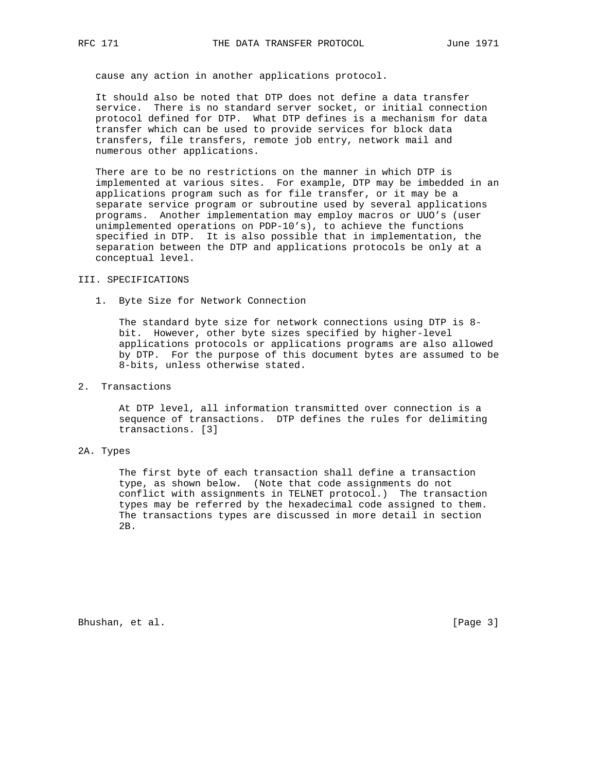cause any action in another applications protocol.

 It should also be noted that DTP does not define a data transfer service. There is no standard server socket, or initial connection protocol defined for DTP. What DTP defines is a mechanism for data transfer which can be used to provide services for block data transfers, file transfers, remote job entry, network mail and numerous other applications.

 There are to be no restrictions on the manner in which DTP is implemented at various sites. For example, DTP may be imbedded in an applications program such as for file transfer, or it may be a separate service program or subroutine used by several applications programs. Another implementation may employ macros or UUO's (user unimplemented operations on PDP-10's), to achieve the functions specified in DTP. It is also possible that in implementation, the separation between the DTP and applications protocols be only at a conceptual level.

# III. SPECIFICATIONS

1. Byte Size for Network Connection

 The standard byte size for network connections using DTP is 8 bit. However, other byte sizes specified by higher-level applications protocols or applications programs are also allowed by DTP. For the purpose of this document bytes are assumed to be 8-bits, unless otherwise stated.

### 2. Transactions

 At DTP level, all information transmitted over connection is a sequence of transactions. DTP defines the rules for delimiting transactions. [3]

# 2A. Types

 The first byte of each transaction shall define a transaction type, as shown below. (Note that code assignments do not conflict with assignments in TELNET protocol.) The transaction types may be referred by the hexadecimal code assigned to them. The transactions types are discussed in more detail in section 2B.

Bhushan, et al. [Page 3]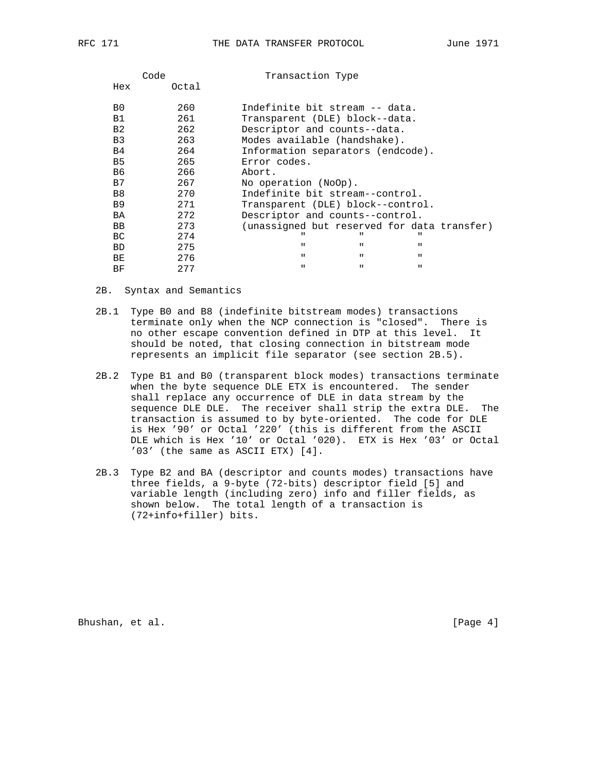| Code  | Transaction Type                            |
|-------|---------------------------------------------|
| Octal |                                             |
| 260   | Indefinite bit stream -- data.              |
| 261   | Transparent (DLE) block--data.              |
| 262   | Descriptor and counts--data.                |
| 263   | Modes available (handshake).                |
| 264   | Information separators (endcode).           |
| 265   | Error codes.                                |
| 266   | Abort.                                      |
| 267   | No operation (NoOp).                        |
| 270   | Indefinite bit stream--control.             |
| 271   | Transparent (DLE) block--control.           |
| 272   | Descriptor and counts--control.             |
| 273   | (unassigned but reserved for data transfer) |
| 274   | $\mathbf{H}$<br>$\mathbf{u}$                |
| 275   | $\mathbf{u}$<br>$\mathbf{u}$<br>П.          |
| 276   | $\mathbf{u}$<br>П.<br>$\mathbf{H}$          |
| 277   | $\mathbf{H}$<br>П.<br>$\mathbf{u}$          |
|       |                                             |

2B. Syntax and Semantics

- 2B.1 Type B0 and B8 (indefinite bitstream modes) transactions terminate only when the NCP connection is "closed". There is no other escape convention defined in DTP at this level. It should be noted, that closing connection in bitstream mode represents an implicit file separator (see section 2B.5).
- 2B.2 Type B1 and B0 (transparent block modes) transactions terminate when the byte sequence DLE ETX is encountered. The sender shall replace any occurrence of DLE in data stream by the sequence DLE DLE. The receiver shall strip the extra DLE. The transaction is assumed to by byte-oriented. The code for DLE is Hex '90' or Octal '220' (this is different from the ASCII DLE which is Hex '10' or Octal '020). ETX is Hex '03' or Octal '03' (the same as ASCII ETX) [4].
- 2B.3 Type B2 and BA (descriptor and counts modes) transactions have three fields, a 9-byte (72-bits) descriptor field [5] and variable length (including zero) info and filler fields, as shown below. The total length of a transaction is (72+info+filler) bits.

Bhushan, et al. [Page 4]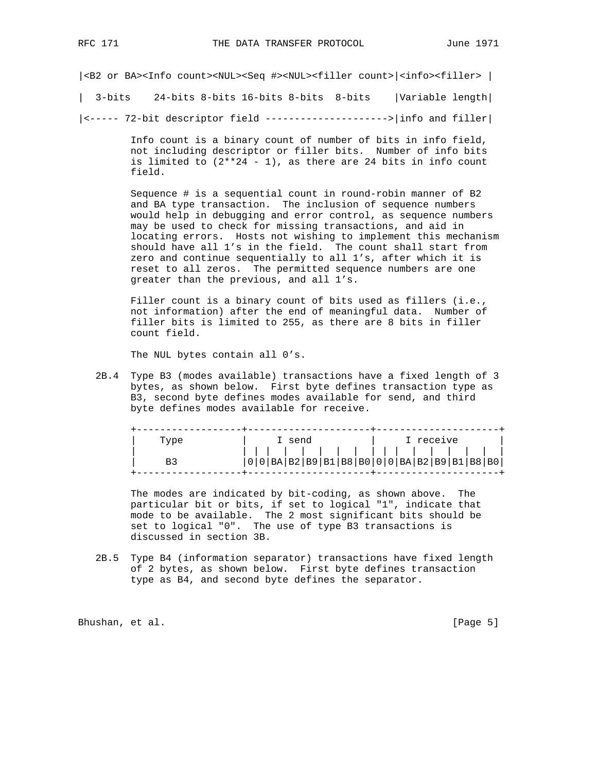|<B2 or BA><Info count><NUL><Seq #><NUL><filler count>|<info><filler> |

| 3-bits 24-bits 8-bits 16-bits 8-bits 8-bits |Variable length|

|<----- 72-bit descriptor field --------------------->|info and filler|

 Info count is a binary count of number of bits in info field, not including descriptor or filler bits. Number of info bits is limited to  $(2**24 - 1)$ , as there are 24 bits in info count field.

 Sequence # is a sequential count in round-robin manner of B2 and BA type transaction. The inclusion of sequence numbers would help in debugging and error control, as sequence numbers may be used to check for missing transactions, and aid in locating errors. Hosts not wishing to implement this mechanism should have all 1's in the field. The count shall start from zero and continue sequentially to all 1's, after which it is reset to all zeros. The permitted sequence numbers are one greater than the previous, and all 1's.

Filler count is a binary count of bits used as fillers (i.e., not information) after the end of meaningful data. Number of filler bits is limited to 255, as there are 8 bits in filler count field.

The NUL bytes contain all 0's.

 2B.4 Type B3 (modes available) transactions have a fixed length of 3 bytes, as shown below. First byte defines transaction type as B3, second byte defines modes available for send, and third byte defines modes available for receive.

| Tvpe | I send |  |  |  | I receive |  |  |
|------|--------|--|--|--|-----------|--|--|
|      |        |  |  |  |           |  |  |

 The modes are indicated by bit-coding, as shown above. The particular bit or bits, if set to logical "1", indicate that mode to be available. The 2 most significant bits should be set to logical "0". The use of type B3 transactions is discussed in section 3B.

 2B.5 Type B4 (information separator) transactions have fixed length of 2 bytes, as shown below. First byte defines transaction type as B4, and second byte defines the separator.

Bhushan, et al. [Page 5]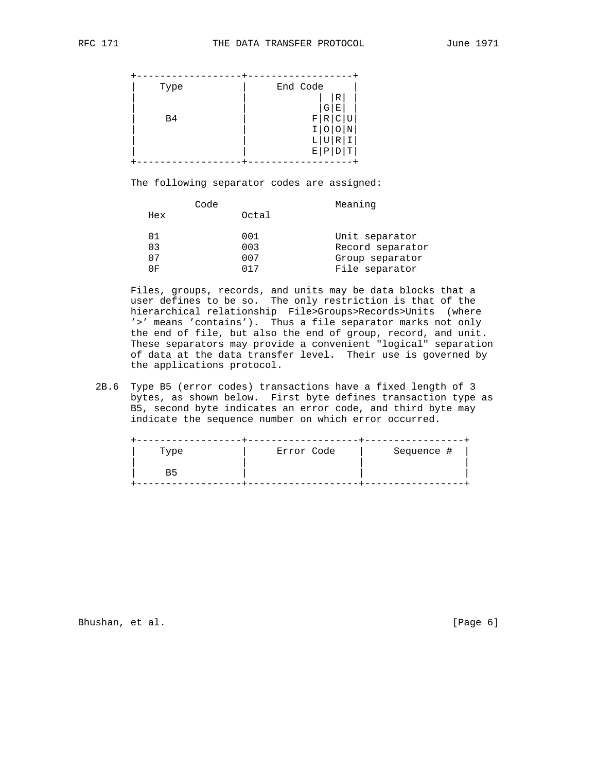| Type           | End Code     |
|----------------|--------------|
|                | 'R<br>G<br>Ε |
| B <sub>4</sub> | R<br>F       |
|                | R            |
|                | E<br>Τ<br>P  |

The following separator codes are assigned:

|     | Code  | Meaning          |
|-----|-------|------------------|
| Hex | Octal |                  |
| ი 1 | 001   | Unit separator   |
| 03  | 003   | Record separator |
| 07  | 007   | Group separator  |
| 0F  | በ17   | File separator   |

 Files, groups, records, and units may be data blocks that a user defines to be so. The only restriction is that of the hierarchical relationship File>Groups>Records>Units (where '>' means 'contains'). Thus a file separator marks not only the end of file, but also the end of group, record, and unit. These separators may provide a convenient "logical" separation of data at the data transfer level. Their use is governed by the applications protocol.

 2B.6 Type B5 (error codes) transactions have a fixed length of 3 bytes, as shown below. First byte defines transaction type as B5, second byte indicates an error code, and third byte may indicate the sequence number on which error occurred.

| Type | Error Code | Sequence # |
|------|------------|------------|
|      |            |            |

Bhushan, et al. [Page 6]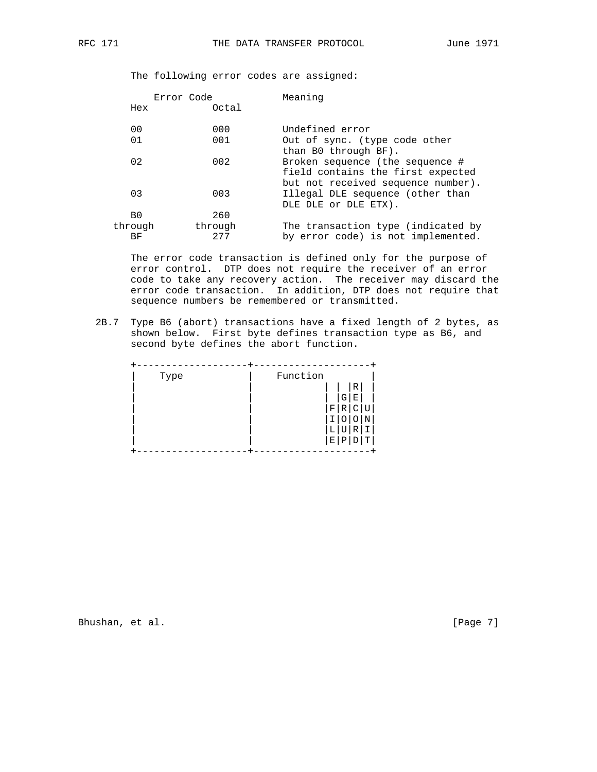The following error codes are assigned:

|                | Error Code     | Meaning                                                                                                    |
|----------------|----------------|------------------------------------------------------------------------------------------------------------|
| Hex            | Octal          |                                                                                                            |
| 0 <sub>0</sub> | 000            | Undefined error                                                                                            |
| 01             | 001            | Out of sync. (type code other<br>than B0 through BF).                                                      |
| 02             | 002            | Broken sequence (the sequence #<br>field contains the first expected<br>but not received sequence number). |
| 03             | 003            | Illegal DLE sequence (other than<br>DLE DLE Or DLE ETX).                                                   |
| B <sub>0</sub> | 260            |                                                                                                            |
| through<br>ВF  | through<br>277 | The transaction type (indicated by<br>by error code) is not implemented.                                   |

 The error code transaction is defined only for the purpose of error control. DTP does not require the receiver of an error code to take any recovery action. The receiver may discard the error code transaction. In addition, DTP does not require that sequence numbers be remembered or transmitted.

 2B.7 Type B6 (abort) transactions have a fixed length of 2 bytes, as shown below. First byte defines transaction type as B6, and second byte defines the abort function.

| Type | Function |   |   |             |   |
|------|----------|---|---|-------------|---|
|      |          |   |   | $\mathbb R$ |   |
|      |          |   | G | Е           |   |
|      |          | F | R |             |   |
|      |          |   |   |             |   |
|      |          | L | U | R           |   |
|      |          | Е | Ρ |             | т |
|      |          |   |   |             |   |

Bhushan, et al. [Page 7]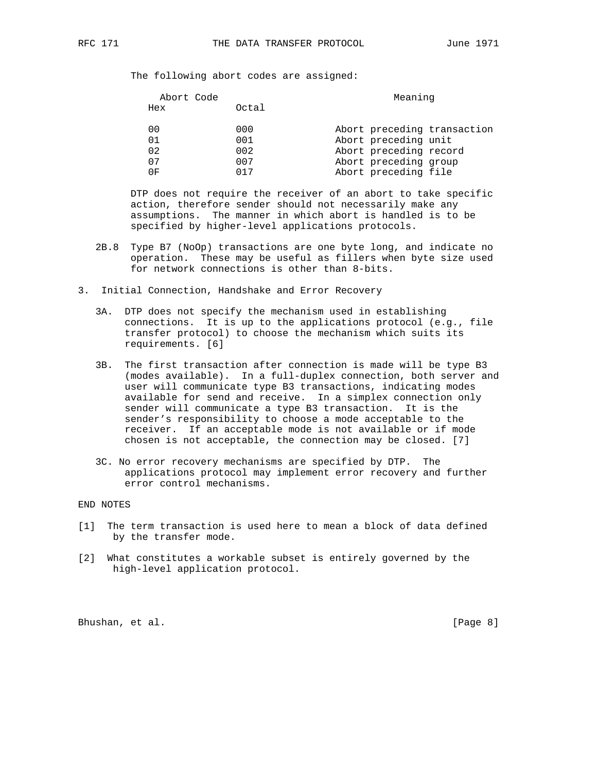The following abort codes are assigned:

| Abort Code |     |       | Meaning                     |
|------------|-----|-------|-----------------------------|
|            | Hex | Octal |                             |
|            | 00  | 000   | Abort preceding transaction |
|            | 01  | 001   | Abort preceding unit        |
|            | 02  | 002   | Abort preceding record      |
|            | 07  | 007   | Abort preceding group       |
|            | 0F  | በ17   | Abort preceding file        |

 DTP does not require the receiver of an abort to take specific action, therefore sender should not necessarily make any assumptions. The manner in which abort is handled is to be specified by higher-level applications protocols.

- 2B.8 Type B7 (NoOp) transactions are one byte long, and indicate no operation. These may be useful as fillers when byte size used for network connections is other than 8-bits.
- 3. Initial Connection, Handshake and Error Recovery
	- 3A. DTP does not specify the mechanism used in establishing connections. It is up to the applications protocol (e.g., file transfer protocol) to choose the mechanism which suits its requirements. [6]
	- 3B. The first transaction after connection is made will be type B3 (modes available). In a full-duplex connection, both server and user will communicate type B3 transactions, indicating modes available for send and receive. In a simplex connection only sender will communicate a type B3 transaction. It is the sender's responsibility to choose a mode acceptable to the receiver. If an acceptable mode is not available or if mode chosen is not acceptable, the connection may be closed. [7]
	- 3C. No error recovery mechanisms are specified by DTP. The applications protocol may implement error recovery and further error control mechanisms.

END NOTES

- [1] The term transaction is used here to mean a block of data defined by the transfer mode.
- [2] What constitutes a workable subset is entirely governed by the high-level application protocol.

Bhushan, et al. [Page 8]